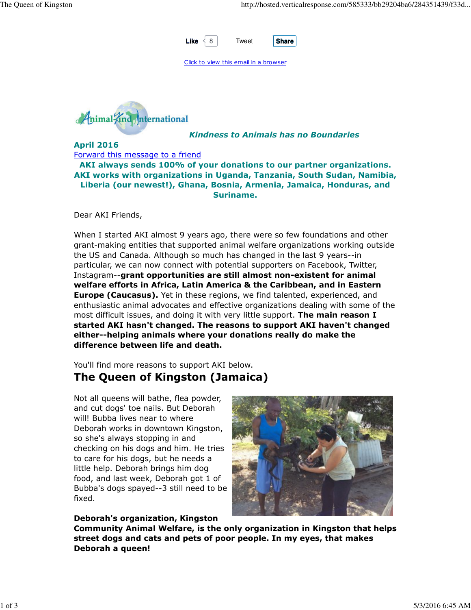

Click to view this email in a browser



### Kindness to Animals has no Boundaries

April 2016 Forward this message to a friend

AKI always sends 100% of your donations to our partner organizations. AKI works with organizations in Uganda, Tanzania, South Sudan, Namibia, Liberia (our newest!), Ghana, Bosnia, Armenia, Jamaica, Honduras, and Suriname.

Dear AKI Friends,

When I started AKI almost 9 years ago, there were so few foundations and other grant-making entities that supported animal welfare organizations working outside the US and Canada. Although so much has changed in the last 9 years--in particular, we can now connect with potential supporters on Facebook, Twitter, Instagram--grant opportunities are still almost non-existent for animal welfare efforts in Africa, Latin America & the Caribbean, and in Eastern **Europe (Caucasus).** Yet in these regions, we find talented, experienced, and enthusiastic animal advocates and effective organizations dealing with some of the most difficult issues, and doing it with very little support. The main reason I started AKI hasn't changed. The reasons to support AKI haven't changed either--helping animals where your donations really do make the difference between life and death.

You'll find more reasons to support AKI below. The Queen of Kingston (Jamaica)

Not all queens will bathe, flea powder, and cut dogs' toe nails. But Deborah will! Bubba lives near to where Deborah works in downtown Kingston, so she's always stopping in and checking on his dogs and him. He tries to care for his dogs, but he needs a little help. Deborah brings him dog food, and last week, Deborah got 1 of Bubba's dogs spayed--3 still need to be fixed.

Deborah's organization, Kingston



Community Animal Welfare, is the only organization in Kingston that helps street dogs and cats and pets of poor people. In my eyes, that makes Deborah a queen!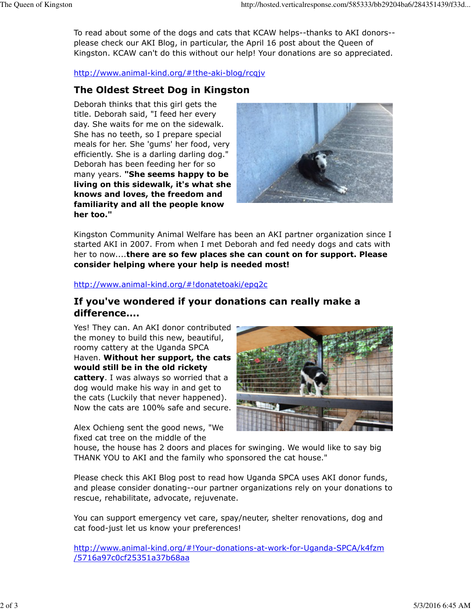To read about some of the dogs and cats that KCAW helps--thanks to AKI donors- please check our AKI Blog, in particular, the April 16 post about the Queen of Kingston. KCAW can't do this without our help! Your donations are so appreciated.

http://www.animal-kind.org/#!the-aki-blog/rcqjv

### The Oldest Street Dog in Kingston

Deborah thinks that this girl gets the title. Deborah said, "I feed her every day. She waits for me on the sidewalk. She has no teeth, so I prepare special meals for her. She 'gums' her food, very efficiently. She is a darling darling dog." Deborah has been feeding her for so many years. "She seems happy to be living on this sidewalk, it's what she knows and loves, the freedom and familiarity and all the people know her too."



Kingston Community Animal Welfare has been an AKI partner organization since I started AKI in 2007. From when I met Deborah and fed needy dogs and cats with her to now....there are so few places she can count on for support. Please consider helping where your help is needed most!

#### http://www.animal-kind.org/#!donatetoaki/epq2c

## If you've wondered if your donations can really make a difference....

Yes! They can. An AKI donor contributed the money to build this new, beautiful, roomy cattery at the Uganda SPCA Haven. Without her support, the cats would still be in the old rickety cattery. I was always so worried that a dog would make his way in and get to the cats (Luckily that never happened). Now the cats are 100% safe and secure.

Alex Ochieng sent the good news, "We fixed cat tree on the middle of the



house, the house has 2 doors and places for swinging. We would like to say big THANK YOU to AKI and the family who sponsored the cat house."

Please check this AKI Blog post to read how Uganda SPCA uses AKI donor funds, and please consider donating--our partner organizations rely on your donations to rescue, rehabilitate, advocate, rejuvenate.

You can support emergency vet care, spay/neuter, shelter renovations, dog and cat food-just let us know your preferences!

http://www.animal-kind.org/#!Your-donations-at-work-for-Uganda-SPCA/k4fzm /5716a97c0cf25351a37b68aa